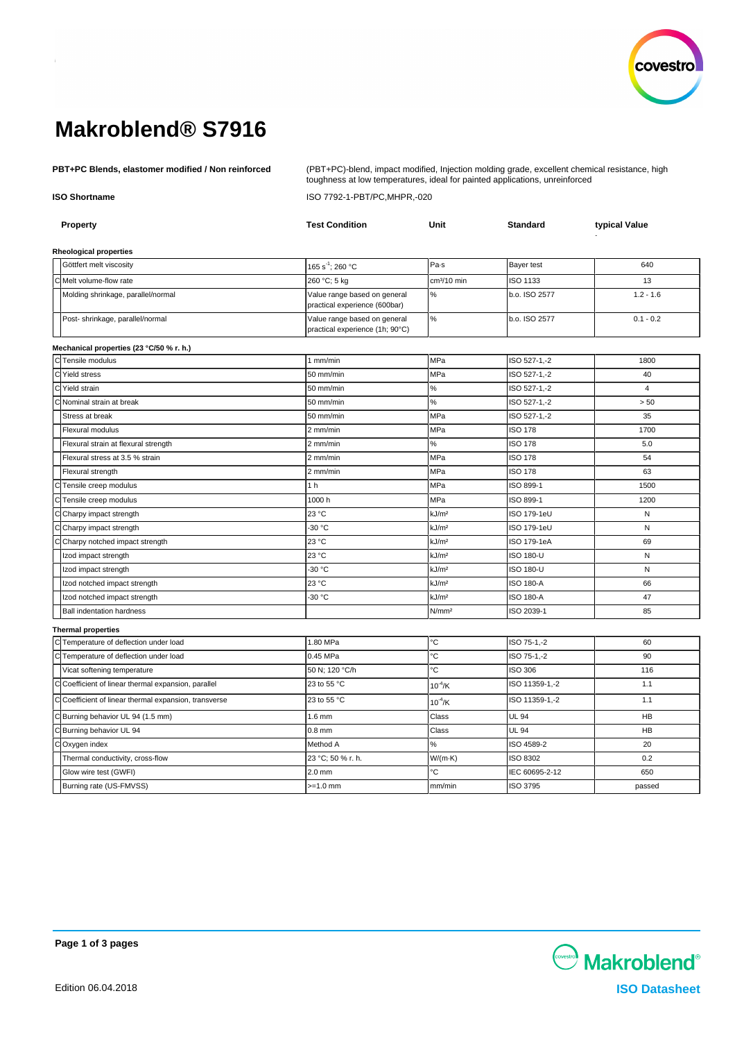

# **Makroblend® S7916**

**PBT+PC Blends, elastomer modified / Non reinforced** (PBT+PC)-blend, impact modified, Injection molding grade, excellent chemical resistance, high toughness at low temperatures, ideal for painted applications, unreinforced

**ISO Shortname** ISO 7792-1-PBT/PC,MHPR,-020

| Property                                            | <b>Test Condition</b>                                           | Unit              | <b>Standard</b>  | typical Value  |
|-----------------------------------------------------|-----------------------------------------------------------------|-------------------|------------------|----------------|
| Rheological properties                              |                                                                 |                   |                  |                |
| Göttfert melt viscosity                             | 165 s <sup>-1</sup> ; 260 °C                                    | Pa-s              | Bayer test       | 640            |
| Melt volume-flow rate                               | 260 °C; 5 kg                                                    | $cm3/10$ min      | ISO 1133         | 13             |
| Molding shrinkage, parallel/normal                  | Value range based on general<br>practical experience (600bar)   | $\%$              | b.o. ISO 2577    | $1.2 - 1.6$    |
| Post- shrinkage, parallel/normal                    | Value range based on general<br>practical experience (1h; 90°C) | %                 | b.o. ISO 2577    | $0.1 - 0.2$    |
| Mechanical properties (23 °C/50 % r. h.)            |                                                                 |                   |                  |                |
| CTensile modulus                                    | $1$ mm/min                                                      | MPa               | ISO 527-1,-2     | 1800           |
| C Yield stress                                      | 50 mm/min                                                       | MPa               | ISO 527-1,-2     | 40             |
| Yield strain                                        | 50 mm/min                                                       | $\%$              | ISO 527-1,-2     | $\overline{4}$ |
| Nominal strain at break                             | 50 mm/min                                                       | $\%$              | ISO 527-1,-2     | $> 50$         |
| Stress at break                                     | 50 mm/min                                                       | MPa               | ISO 527-1,-2     | 35             |
| Flexural modulus                                    | 2 mm/min                                                        | MPa               | <b>ISO 178</b>   | 1700           |
| Flexural strain at flexural strength                | 2 mm/min                                                        | $\%$              | <b>ISO 178</b>   | 5.0            |
| Flexural stress at 3.5 % strain                     | 2 mm/min                                                        | MPa               | <b>ISO 178</b>   | 54             |
| Flexural strength                                   | 2 mm/min                                                        | MPa               | <b>ISO 178</b>   | 63             |
| Tensile creep modulus                               | 1 <sub>h</sub>                                                  | MPa               | ISO 899-1        | 1500           |
| Tensile creep modulus                               | 1000h                                                           | MPa               | ISO 899-1        | 1200           |
| Charpy impact strength                              | 23 °C                                                           | kJ/m <sup>2</sup> | ISO 179-1eU      | N              |
| Charpy impact strength                              | -30 °C                                                          | kJ/m <sup>2</sup> | ISO 179-1eU      | N              |
| Charpy notched impact strength                      | 23 °C                                                           | kJ/m <sup>2</sup> | ISO 179-1eA      | 69             |
| Izod impact strength                                | 23 °C                                                           | kJ/m <sup>2</sup> | <b>ISO 180-U</b> | N              |
| Izod impact strength                                | -30 °C                                                          | kJ/m <sup>2</sup> | <b>ISO 180-U</b> | N              |
| Izod notched impact strength                        | 23 °C                                                           | kJ/m <sup>2</sup> | <b>ISO 180-A</b> | 66             |
| Izod notched impact strength                        | -30 °C                                                          | kJ/m <sup>2</sup> | <b>ISO 180-A</b> | 47             |
| <b>Ball indentation hardness</b>                    |                                                                 | N/mm <sup>2</sup> | ISO 2039-1       | 85             |
| <b>Thermal properties</b>                           |                                                                 |                   |                  |                |
| C Temperature of deflection under load              | 1.80 MPa                                                        | °С                | ISO 75-1,-2      | 60             |
| Temperature of deflection under load                | 0.45 MPa                                                        | °C                | ISO 75-1,-2      | 90             |
| Vicat softening temperature                         | 50 N; 120 °C/h                                                  | °С                | <b>ISO 306</b>   | 116            |
| Coefficient of linear thermal expansion, parallel   | 23 to 55 °C                                                     | $10^{-4}$ /K      | ISO 11359-1,-2   | 1.1            |
| Coefficient of linear thermal expansion, transverse | 23 to 55 °C                                                     | $10^{-4}$ /K      | ISO 11359-1,-2   | 1.1            |
| Burning behavior UL 94 (1.5 mm)                     | $1.6$ mm                                                        | Class             | <b>UL 94</b>     | HB             |
| C Burning behavior UL 94                            | $0.8$ mm                                                        | Class             | <b>UL 94</b>     | HB             |
| Oxygen index                                        | Method A                                                        | $\%$              | ISO 4589-2       | 20             |
| Thermal conductivity, cross-flow                    | 23 °C; 50 % r. h.                                               | W/(m·K)           | ISO 8302         | 0.2            |
| Glow wire test (GWFI)                               | $2.0$ mm                                                        | °C                | IEC 60695-2-12   | 650            |
| Burning rate (US-FMVSS)                             | $>=1.0$ mm                                                      | mm/min            | ISO 3795         | passed         |

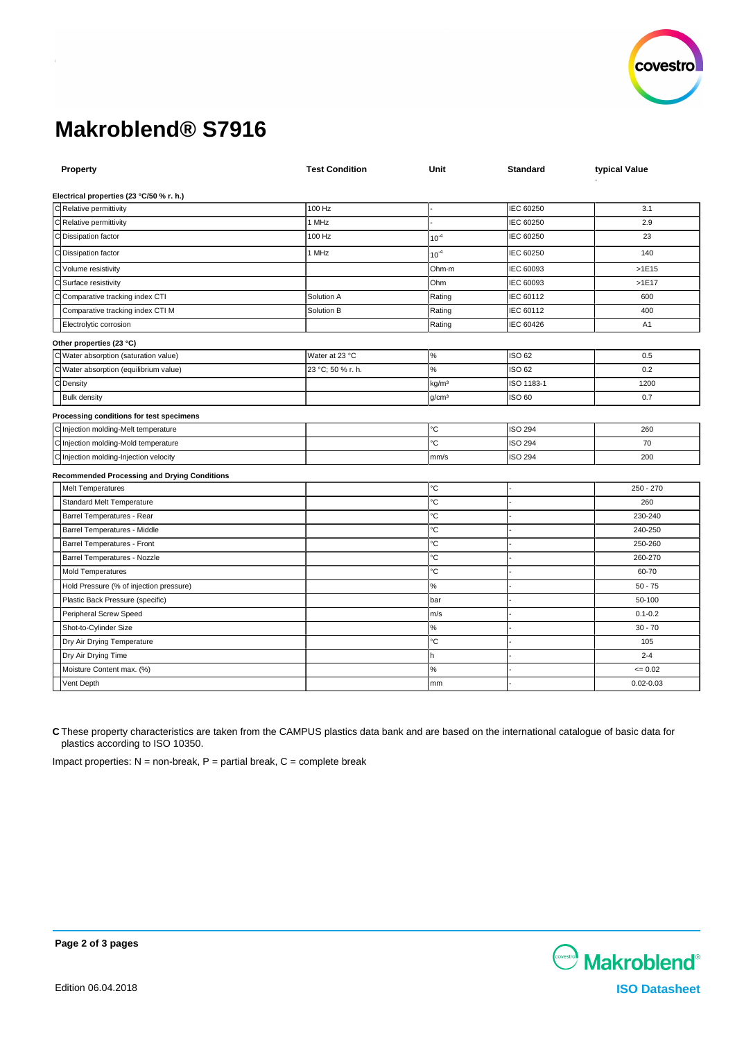

# **Makroblend® S7916**

| Property                                            | <b>Test Condition</b> | Unit              | <b>Standard</b> | typical Value |
|-----------------------------------------------------|-----------------------|-------------------|-----------------|---------------|
| Electrical properties (23 °C/50 % r. h.)            |                       |                   |                 |               |
| C Relative permittivity                             | 100 Hz                |                   | IEC 60250       | 3.1           |
| C Relative permittivity                             | 1 MHz                 |                   | IEC 60250       | 2.9           |
| C Dissipation factor                                | 100 Hz                | $10^{-4}$         | IEC 60250       | 23            |
| C Dissipation factor                                | 1 MHz                 | $10^{-4}$         | IEC 60250       | 140           |
| C Volume resistivity                                |                       | Ohm-m             | IEC 60093       | $>1E15$       |
| C Surface resistivity                               |                       | Ohm               | IEC 60093       | >1E17         |
| C Comparative tracking index CTI                    | Solution A            | Rating            | IEC 60112       | 600           |
| Comparative tracking index CTI M                    | Solution B            | Rating            | IEC 60112       | 400           |
| Electrolytic corrosion                              |                       | Rating            | IEC 60426       | A1            |
| Other properties (23 °C)                            |                       |                   |                 |               |
| C Water absorption (saturation value)               | Water at 23 °C        | $\%$              | ISO 62          | 0.5           |
| C Water absorption (equilibrium value)              | 23 °C; 50 % r. h.     | $\%$              | ISO 62          | 0.2           |
| C Density                                           |                       | kg/m <sup>3</sup> | ISO 1183-1      | 1200          |
| <b>Bulk density</b>                                 |                       | g/cm <sup>3</sup> | ISO 60          | 0.7           |
| Processing conditions for test specimens            |                       |                   |                 |               |
| C Injection molding-Melt temperature                |                       | °C                | <b>ISO 294</b>  | 260           |
| C Injection molding-Mold temperature                |                       | ۰C                | <b>ISO 294</b>  | 70            |
| C Injection molding-Injection velocity              |                       | mm/s              | <b>ISO 294</b>  | 200           |
| <b>Recommended Processing and Drying Conditions</b> |                       |                   |                 |               |
| <b>Melt Temperatures</b>                            |                       | $^{\circ}{\rm C}$ |                 | $250 - 270$   |
| Standard Melt Temperature                           |                       | ۰C                |                 | 260           |
| Barrel Temperatures - Rear                          |                       | °C                |                 | 230-240       |
| Barrel Temperatures - Middle                        |                       | °C                |                 | 240-250       |
| Barrel Temperatures - Front                         |                       | °C                |                 | 250-260       |
| Barrel Temperatures - Nozzle                        |                       | °C                |                 | 260-270       |
| Mold Temperatures                                   |                       | °C                |                 | 60-70         |
| Hold Pressure (% of injection pressure)             |                       | $\%$              |                 | $50 - 75$     |
| Plastic Back Pressure (specific)                    |                       | bar               |                 | 50-100        |
| Peripheral Screw Speed                              |                       | m/s               |                 | $0.1 - 0.2$   |
| Shot-to-Cylinder Size                               |                       | $\%$              |                 | $30 - 70$     |
| Dry Air Drying Temperature                          |                       | °C                |                 | 105           |
| Dry Air Drying Time                                 |                       | h                 |                 | $2 - 4$       |
| Moisture Content max. (%)                           |                       | $\%$              |                 | $= 0.02$      |
| Vent Depth                                          |                       | mm                |                 | $0.02 - 0.03$ |

**C** These property characteristics are taken from the CAMPUS plastics data bank and are based on the international catalogue of basic data for plastics according to ISO 10350.

Impact properties:  $N =$  non-break,  $P =$  partial break,  $C =$  complete break



**Page 2 of 3 pages**